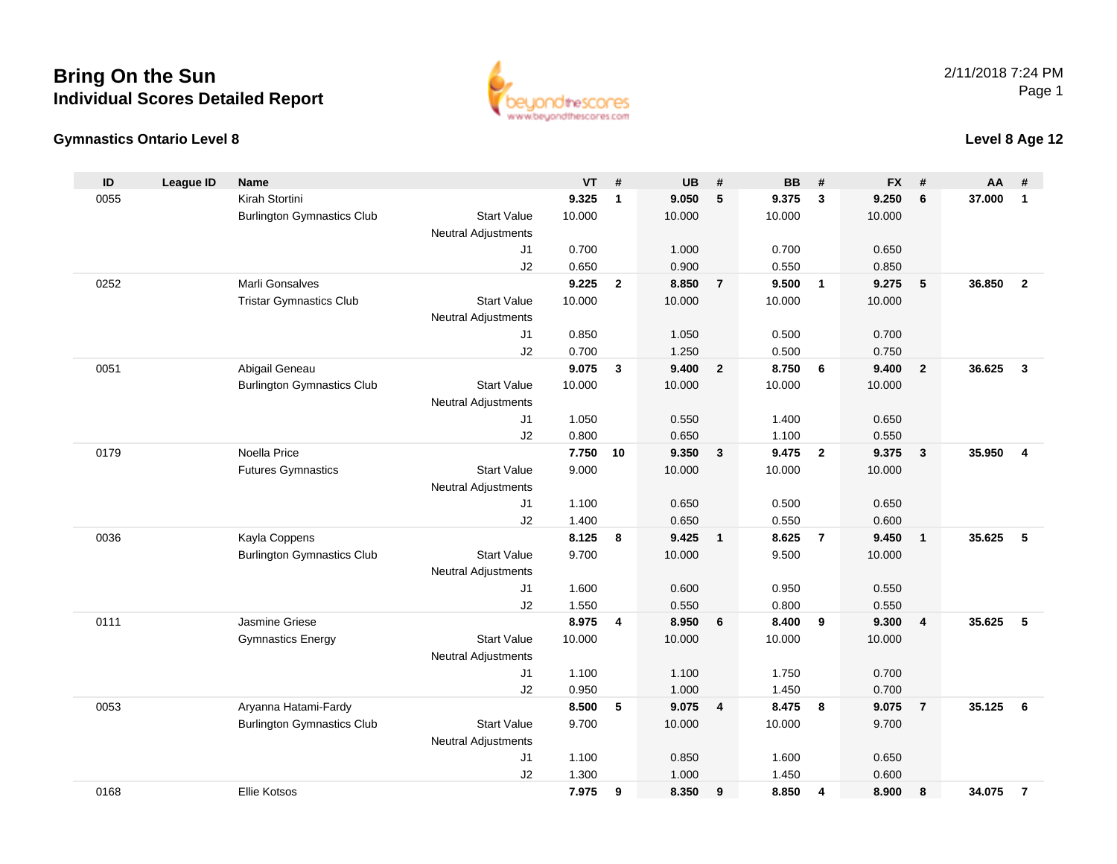#### **Gymnastics Ontario Level 8**

**ID**

0168

| ID   | League ID | <b>Name</b>                       |                            | VT     | #              | UB     | #              | BB.    | #                       | FX.    | #                       | AA     |                |
|------|-----------|-----------------------------------|----------------------------|--------|----------------|--------|----------------|--------|-------------------------|--------|-------------------------|--------|----------------|
| 0055 |           | Kirah Stortini                    |                            | 9.325  | 1              | 9.050  | 5              | 9.375  | 3                       | 9.250  | 6                       | 37.000 | $\mathbf{1}$   |
|      |           | <b>Burlington Gymnastics Club</b> | <b>Start Value</b>         | 10.000 |                | 10.000 |                | 10.000 |                         | 10.000 |                         |        |                |
|      |           |                                   | <b>Neutral Adjustments</b> |        |                |        |                |        |                         |        |                         |        |                |
|      |           |                                   | J1                         | 0.700  |                | 1.000  |                | 0.700  |                         | 0.650  |                         |        |                |
|      |           |                                   | J2                         | 0.650  |                | 0.900  |                | 0.550  |                         | 0.850  |                         |        |                |
| 0252 |           | Marli Gonsalves                   |                            | 9.225  | $\overline{2}$ | 8.850  | $\overline{7}$ | 9.500  | 1                       | 9.275  | 5                       | 36.850 | $\overline{2}$ |
|      |           | <b>Tristar Gymnastics Club</b>    | <b>Start Value</b>         | 10.000 |                | 10.000 |                | 10.000 |                         | 10.000 |                         |        |                |
|      |           |                                   | <b>Neutral Adjustments</b> |        |                |        |                |        |                         |        |                         |        |                |
|      |           |                                   | J1                         | 0.850  |                | 1.050  |                | 0.500  |                         | 0.700  |                         |        |                |
|      |           |                                   | J2                         | 0.700  |                | 1.250  |                | 0.500  |                         | 0.750  |                         |        |                |
| 0051 |           | Abigail Geneau                    |                            | 9.075  | 3              | 9.400  | $\overline{2}$ | 8.750  | 6                       | 9.400  | $\overline{2}$          | 36.625 | 3              |
|      |           | <b>Burlington Gymnastics Club</b> | <b>Start Value</b>         | 10.000 |                | 10.000 |                | 10.000 |                         | 10.000 |                         |        |                |
|      |           |                                   | <b>Neutral Adjustments</b> |        |                |        |                |        |                         |        |                         |        |                |
|      |           |                                   | J <sub>1</sub>             | 1.050  |                | 0.550  |                | 1.400  |                         | 0.650  |                         |        |                |
|      |           |                                   | J2                         | 0.800  |                | 0.650  |                | 1.100  |                         | 0.550  |                         |        |                |
| 0179 |           | Noella Price                      |                            | 7.750  | 10             | 9.350  | 3              | 9.475  | $\overline{2}$          | 9.375  | 3                       | 35.950 | Δ              |
|      |           | <b>Futures Gymnastics</b>         | <b>Start Value</b>         | 9.000  |                | 10.000 |                | 10.000 |                         | 10.000 |                         |        |                |
|      |           |                                   | <b>Neutral Adjustments</b> |        |                |        |                |        |                         |        |                         |        |                |
|      |           |                                   | J <sub>1</sub>             | 1.100  |                | 0.650  |                | 0.500  |                         | 0.650  |                         |        |                |
|      |           |                                   | J2                         | 1.400  |                | 0.650  |                | 0.550  |                         | 0.600  |                         |        |                |
| 0036 |           | Kayla Coppens                     |                            | 8.125  | 8              | 9.425  | $\mathbf{1}$   | 8.625  | $\overline{\mathbf{r}}$ | 9.450  | $\mathbf{1}$            | 35.625 | 5              |
|      |           | <b>Burlington Gymnastics Club</b> | <b>Start Value</b>         | 9.700  |                | 10.000 |                | 9.500  |                         | 10.000 |                         |        |                |
|      |           |                                   | <b>Neutral Adjustments</b> |        |                |        |                |        |                         |        |                         |        |                |
|      |           |                                   | J1                         | 1.600  |                | 0.600  |                | 0.950  |                         | 0.550  |                         |        |                |
|      |           |                                   | J2                         | 1.550  |                | 0.550  |                | 0.800  |                         | 0.550  |                         |        |                |
| 0111 |           | Jasmine Griese                    |                            | 8.975  | $\overline{4}$ | 8.950  | 6              | 8.400  | 9                       | 9.300  | $\overline{\mathbf{4}}$ | 35.625 | 5              |
|      |           | <b>Gymnastics Energy</b>          | <b>Start Value</b>         | 10.000 |                | 10.000 |                | 10.000 |                         | 10.000 |                         |        |                |
|      |           |                                   | <b>Neutral Adjustments</b> |        |                |        |                |        |                         |        |                         |        |                |
|      |           |                                   | J1                         | 1.100  |                | 1.100  |                | 1.750  |                         | 0.700  |                         |        |                |
|      |           |                                   | J2                         | 0.950  |                | 1.000  |                | 1.450  |                         | 0.700  |                         |        |                |
| 0053 |           | Aryanna Hatami-Fardy              |                            | 8.500  | 5              | 9.075  | 4              | 8.475  | 8                       | 9.075  | $\overline{7}$          | 35.125 | 6              |
|      |           | <b>Burlington Gymnastics Club</b> | <b>Start Value</b>         | 9.700  |                | 10.000 |                | 10.000 |                         | 9.700  |                         |        |                |
|      |           |                                   | <b>Neutral Adjustments</b> |        |                |        |                |        |                         |        |                         |        |                |
|      |           |                                   | J <sub>1</sub>             | 1.100  |                | 0.850  |                | 1.600  |                         | 0.650  |                         |        |                |
|      |           |                                   | J2                         | 1.300  |                | 1.000  |                | 1.450  |                         | 0.600  |                         |        |                |
|      |           |                                   |                            |        |                |        |                |        |                         |        |                         |        |                |

ww.beyondthescores.com

Ellie Kotsos **7.975 <sup>9</sup> 8.350 <sup>9</sup> 8.850 <sup>4</sup> 8.900 <sup>8</sup> 34.075 <sup>7</sup>**

#### 2/11/2018 7:24 PMPage 1

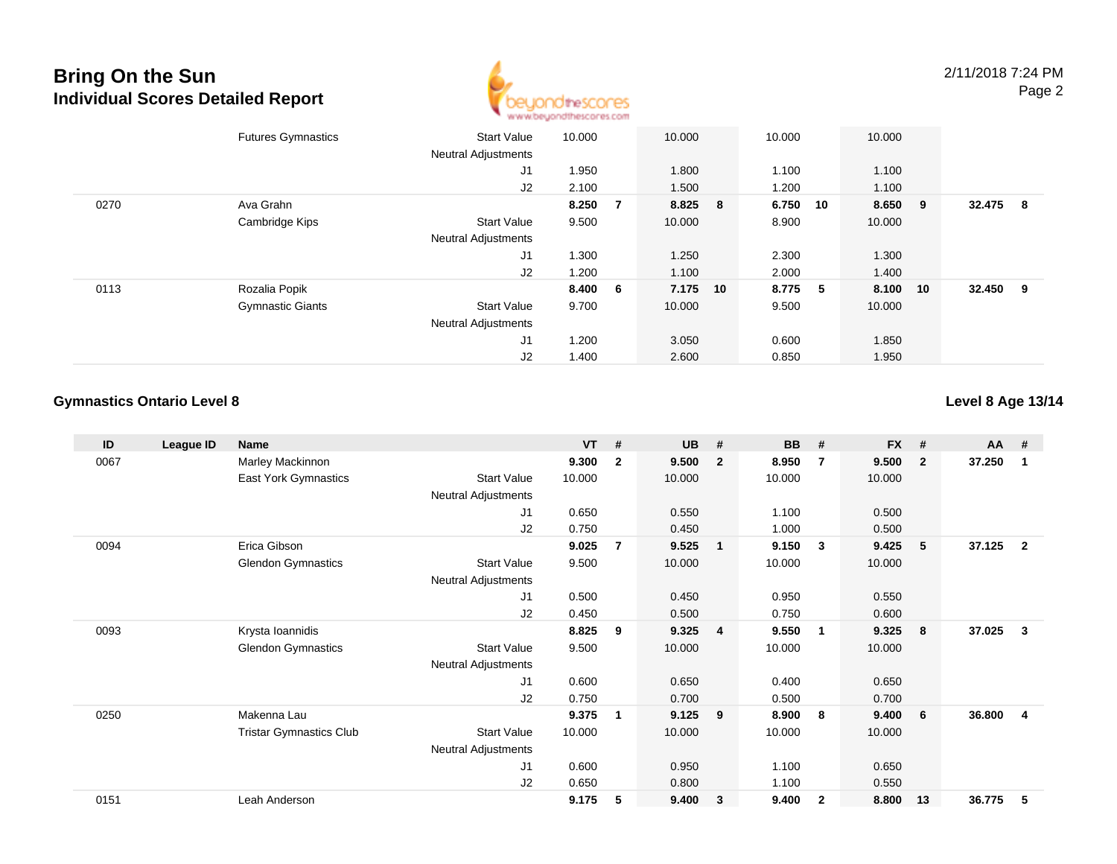

|      | <b>Futures Gymnastics</b> | <b>Start Value</b><br><b>Neutral Adjustments</b> | 10.000  |                | 10.000   | 10.000  |    | 10.000  |    |          |     |
|------|---------------------------|--------------------------------------------------|---------|----------------|----------|---------|----|---------|----|----------|-----|
|      |                           | J <sub>1</sub>                                   | 1.950   |                | 1.800    | 1.100   |    | 1.100   |    |          |     |
|      |                           | J2                                               | 2.100   |                | 1.500    | 1.200   |    | 1.100   |    |          |     |
| 0270 | Ava Grahn                 |                                                  | 8.250   | $\overline{7}$ | 8.825 8  | 6.750   | 10 | 8.650 9 |    | 32.475   | - 8 |
|      | Cambridge Kips            | <b>Start Value</b>                               | 9.500   |                | 10.000   | 8.900   |    | 10.000  |    |          |     |
|      |                           | <b>Neutral Adjustments</b>                       |         |                |          |         |    |         |    |          |     |
|      |                           | J1                                               | 1.300   |                | 1.250    | 2.300   |    | 1.300   |    |          |     |
|      |                           | J2                                               | 1.200   |                | 1.100    | 2.000   |    | 1.400   |    |          |     |
| 0113 | Rozalia Popik             |                                                  | 8.400 6 |                | 7.175 10 | 8.775 5 |    | 8.100   | 10 | 32.450 9 |     |
|      | <b>Gymnastic Giants</b>   | <b>Start Value</b>                               | 9.700   |                | 10.000   | 9.500   |    | 10.000  |    |          |     |
|      |                           | <b>Neutral Adjustments</b>                       |         |                |          |         |    |         |    |          |     |
|      |                           | J <sub>1</sub>                                   | 1.200   |                | 3.050    | 0.600   |    | 1.850   |    |          |     |
|      |                           | J2                                               | 1.400   |                | 2.600    | 0.850   |    | 1.950   |    |          |     |

### **Gymnastics Ontario Level 8**

### **Level 8 Age 13/14**

| ID   | League ID | <b>Name</b>                    |                     | $VT$ # |                | <b>UB</b> | #              | <b>BB</b> | #            | <b>FX</b> | #                       | <b>AA</b> | #              |
|------|-----------|--------------------------------|---------------------|--------|----------------|-----------|----------------|-----------|--------------|-----------|-------------------------|-----------|----------------|
| 0067 |           | Marley Mackinnon               |                     | 9.300  | $\mathbf{2}$   | 9.500     | $\overline{2}$ | 8.950     | 7            | 9.500     | $\overline{\mathbf{2}}$ | 37.250    | 1              |
|      |           | East York Gymnastics           | <b>Start Value</b>  | 10.000 |                | 10.000    |                | 10.000    |              | 10.000    |                         |           |                |
|      |           |                                | Neutral Adjustments |        |                |           |                |           |              |           |                         |           |                |
|      |           |                                | J1                  | 0.650  |                | 0.550     |                | 1.100     |              | 0.500     |                         |           |                |
|      |           |                                | J2                  | 0.750  |                | 0.450     |                | 1.000     |              | 0.500     |                         |           |                |
| 0094 |           | Erica Gibson                   |                     | 9.025  | $\overline{7}$ | 9.525     | $\overline{1}$ | 9.150     | 3            | 9.425     | 5                       | 37.125    | $\overline{2}$ |
|      |           | <b>Glendon Gymnastics</b>      | <b>Start Value</b>  | 9.500  |                | 10.000    |                | 10.000    |              | 10.000    |                         |           |                |
|      |           |                                | Neutral Adjustments |        |                |           |                |           |              |           |                         |           |                |
|      |           |                                | J1                  | 0.500  |                | 0.450     |                | 0.950     |              | 0.550     |                         |           |                |
|      |           |                                | J2                  | 0.450  |                | 0.500     |                | 0.750     |              | 0.600     |                         |           |                |
| 0093 |           | Krysta Ioannidis               |                     | 8.825  | 9              | 9.325     | $\overline{4}$ | 9.550     | - 1          | 9.325     | 8                       | 37.025    | 3              |
|      |           | <b>Glendon Gymnastics</b>      | <b>Start Value</b>  | 9.500  |                | 10.000    |                | 10.000    |              | 10.000    |                         |           |                |
|      |           |                                | Neutral Adjustments |        |                |           |                |           |              |           |                         |           |                |
|      |           |                                | J1                  | 0.600  |                | 0.650     |                | 0.400     |              | 0.650     |                         |           |                |
|      |           |                                | J2                  | 0.750  |                | 0.700     |                | 0.500     |              | 0.700     |                         |           |                |
| 0250 |           | Makenna Lau                    |                     | 9.375  | 1              | 9.125     | 9              | 8.900     | 8            | 9.400     | -6                      | 36.800    | 4              |
|      |           | <b>Tristar Gymnastics Club</b> | <b>Start Value</b>  | 10.000 |                | 10.000    |                | 10.000    |              | 10.000    |                         |           |                |
|      |           |                                | Neutral Adjustments |        |                |           |                |           |              |           |                         |           |                |
|      |           |                                | J1                  | 0.600  |                | 0.950     |                | 1.100     |              | 0.650     |                         |           |                |
|      |           |                                | J2                  | 0.650  |                | 0.800     |                | 1.100     |              | 0.550     |                         |           |                |
| 0151 |           | Leah Anderson                  |                     | 9.175  | 5              | 9.400     | 3              | 9.400     | $\mathbf{2}$ | 8.800     | 13                      | 36.775    | 5              |
|      |           |                                |                     |        |                |           |                |           |              |           |                         |           |                |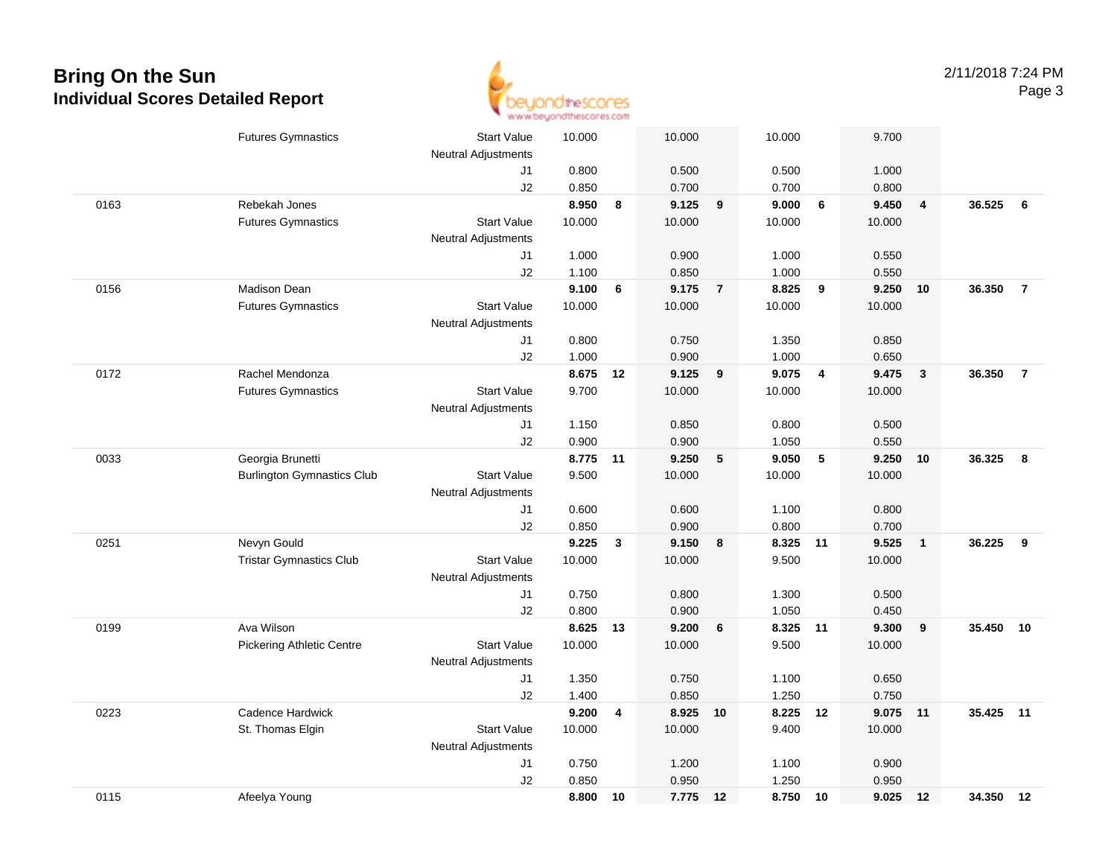

|      | <b>Futures Gymnastics</b>         | <b>Start Value</b><br><b>Neutral Adjustments</b> | 10.000   |    | 10.000 |                | 10.000   |                | 9.700    |                         |           |                |
|------|-----------------------------------|--------------------------------------------------|----------|----|--------|----------------|----------|----------------|----------|-------------------------|-----------|----------------|
|      |                                   | J1                                               | 0.800    |    | 0.500  |                | 0.500    |                | 1.000    |                         |           |                |
|      |                                   | J2                                               | 0.850    |    | 0.700  |                | 0.700    |                | 0.800    |                         |           |                |
| 0163 | Rebekah Jones                     |                                                  | 8.950    | 8  | 9.125  | 9              | 9.000    | 6              | 9.450    | $\overline{4}$          | 36.525    | 6              |
|      | <b>Futures Gymnastics</b>         | <b>Start Value</b>                               | 10.000   |    | 10.000 |                | 10.000   |                | 10.000   |                         |           |                |
|      |                                   | <b>Neutral Adjustments</b>                       |          |    |        |                |          |                |          |                         |           |                |
|      |                                   | J1                                               | 1.000    |    | 0.900  |                | 1.000    |                | 0.550    |                         |           |                |
|      |                                   | J2                                               | 1.100    |    | 0.850  |                | 1.000    |                | 0.550    |                         |           |                |
| 0156 | <b>Madison Dean</b>               |                                                  | 9.100    | 6  | 9.175  | $\overline{7}$ | 8.825    | 9              | 9.250    | 10                      | 36.350    | $\overline{7}$ |
|      | <b>Futures Gymnastics</b>         | <b>Start Value</b>                               | 10.000   |    | 10.000 |                | 10.000   |                | 10.000   |                         |           |                |
|      |                                   | Neutral Adjustments                              |          |    |        |                |          |                |          |                         |           |                |
|      |                                   | J1                                               | 0.800    |    | 0.750  |                | 1.350    |                | 0.850    |                         |           |                |
|      |                                   | J2                                               | 1.000    |    | 0.900  |                | 1.000    |                | 0.650    |                         |           |                |
| 0172 | Rachel Mendonza                   |                                                  | 8.675    | 12 | 9.125  | 9              | 9.075    | $\overline{4}$ | 9.475    | $\overline{\mathbf{3}}$ | 36.350    | $\overline{7}$ |
|      | <b>Futures Gymnastics</b>         | <b>Start Value</b>                               | 9.700    |    | 10.000 |                | 10.000   |                | 10.000   |                         |           |                |
|      |                                   | Neutral Adjustments                              |          |    |        |                |          |                |          |                         |           |                |
|      |                                   | J1                                               | 1.150    |    | 0.850  |                | 0.800    |                | 0.500    |                         |           |                |
|      |                                   | J2                                               | 0.900    |    | 0.900  |                | 1.050    |                | 0.550    |                         |           |                |
| 0033 | Georgia Brunetti                  |                                                  | 8.775 11 |    | 9.250  | 5              | 9.050    | $\sqrt{5}$     | 9.250 10 |                         | 36.325    | - 8            |
|      | <b>Burlington Gymnastics Club</b> | <b>Start Value</b>                               | 9.500    |    | 10.000 |                | 10.000   |                | 10.000   |                         |           |                |
|      |                                   | <b>Neutral Adjustments</b>                       |          |    |        |                |          |                |          |                         |           |                |
|      |                                   | J1                                               | 0.600    |    | 0.600  |                | 1.100    |                | 0.800    |                         |           |                |
|      |                                   | J2                                               | 0.850    |    | 0.900  |                | 0.800    |                | 0.700    |                         |           |                |
| 0251 | Nevyn Gould                       |                                                  | 9.225    | 3  | 9.150  | 8              | 8.325    | 11             | 9.525    | $\overline{1}$          | 36.225    | 9              |
|      | <b>Tristar Gymnastics Club</b>    | <b>Start Value</b>                               | 10.000   |    | 10.000 |                | 9.500    |                | 10.000   |                         |           |                |
|      |                                   | Neutral Adjustments                              |          |    |        |                |          |                |          |                         |           |                |
|      |                                   | J1                                               | 0.750    |    | 0.800  |                | 1.300    |                | 0.500    |                         |           |                |
|      |                                   | J2                                               | 0.800    |    | 0.900  |                | 1.050    |                | 0.450    |                         |           |                |
| 0199 | Ava Wilson                        |                                                  | 8.625 13 |    | 9.200  | 6              | 8.325 11 |                | 9.300    | 9                       | 35.450 10 |                |
|      | <b>Pickering Athletic Centre</b>  | <b>Start Value</b>                               | 10.000   |    | 10.000 |                | 9.500    |                | 10.000   |                         |           |                |
|      |                                   | <b>Neutral Adjustments</b>                       |          |    |        |                |          |                |          |                         |           |                |
|      |                                   | J1                                               | 1.350    |    | 0.750  |                | 1.100    |                | 0.650    |                         |           |                |
|      |                                   | J2                                               | 1.400    |    | 0.850  |                | 1.250    |                | 0.750    |                         |           |                |
| 0223 | Cadence Hardwick                  |                                                  | 9.200    | 4  | 8.925  | 10             | 8.225    | 12             | 9.075 11 |                         | 35.425    | 11             |
|      | St. Thomas Elgin                  | <b>Start Value</b>                               | 10.000   |    | 10.000 |                | 9.400    |                | 10.000   |                         |           |                |
|      |                                   | <b>Neutral Adjustments</b>                       |          |    |        |                |          |                |          |                         |           |                |
|      |                                   | J1                                               | 0.750    |    | 1.200  |                | 1.100    |                | 0.900    |                         |           |                |
|      |                                   | J2                                               | 0.850    |    | 0.950  |                | 1.250    |                | 0.950    |                         |           |                |
| 0115 | Afeelya Young                     |                                                  | 8.800    | 10 | 7.775  | 12             | 8.750 10 |                | 9.025 12 |                         | 34.350 12 |                |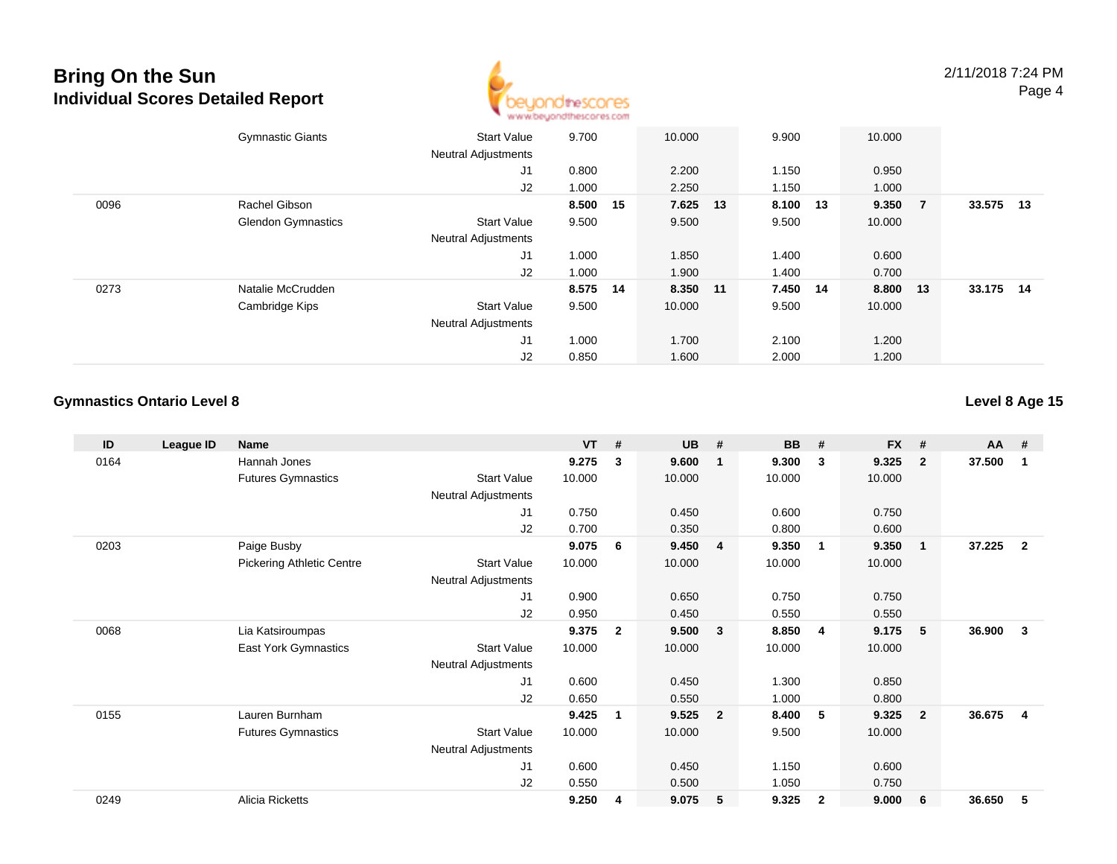

|      | <b>Gymnastic Giants</b>   | <b>Start Value</b><br><b>Neutral Adjustments</b> | 9.700    | 10.000 |          | 9.900    | 10.000   |                |        |    |
|------|---------------------------|--------------------------------------------------|----------|--------|----------|----------|----------|----------------|--------|----|
|      |                           | J1                                               | 0.800    | 2.200  |          | 1.150    | 0.950    |                |        |    |
|      |                           | J2                                               | 1.000    | 2.250  |          | 1.150    | 1.000    |                |        |    |
| 0096 | Rachel Gibson             |                                                  | 8.500 15 |        | 7.625 13 | 8.100 13 | 9.350    | $\overline{7}$ | 33.575 | 13 |
|      | <b>Glendon Gymnastics</b> | <b>Start Value</b>                               | 9.500    | 9.500  |          | 9.500    | 10.000   |                |        |    |
|      |                           | <b>Neutral Adjustments</b>                       |          |        |          |          |          |                |        |    |
|      |                           | J <sub>1</sub>                                   | 1.000    | 1.850  |          | 1.400    | 0.600    |                |        |    |
|      |                           | J2                                               | 1.000    | 1.900  |          | 1.400    | 0.700    |                |        |    |
| 0273 | Natalie McCrudden         |                                                  | 8.575 14 |        | 8.350 11 | 7.450 14 | 8.800 13 |                | 33.175 | 14 |
|      | Cambridge Kips            | <b>Start Value</b>                               | 9.500    | 10.000 |          | 9.500    | 10.000   |                |        |    |
|      |                           | <b>Neutral Adjustments</b>                       |          |        |          |          |          |                |        |    |
|      |                           | J <sub>1</sub>                                   | 1.000    | 1.700  |          | 2.100    | 1.200    |                |        |    |
|      |                           | J2                                               | 0.850    | 1.600  |          | 2.000    | 1.200    |                |        |    |

### **Gymnastics Ontario Level 8**

### **Level 8 Age 15**

| ID   | League ID | <b>Name</b>                      |                            | $VT$ # |              | <b>UB</b> | #              | <b>BB</b> | #                       | <b>FX</b> | #                       | <b>AA</b> | #              |
|------|-----------|----------------------------------|----------------------------|--------|--------------|-----------|----------------|-----------|-------------------------|-----------|-------------------------|-----------|----------------|
| 0164 |           | Hannah Jones                     |                            | 9.275  | 3            | 9.600     | -1             | 9.300     | 3                       | 9.325     | $\mathbf{2}$            | 37.500    | -1             |
|      |           | <b>Futures Gymnastics</b>        | <b>Start Value</b>         | 10.000 |              | 10.000    |                | 10.000    |                         | 10.000    |                         |           |                |
|      |           |                                  | Neutral Adjustments        |        |              |           |                |           |                         |           |                         |           |                |
|      |           |                                  | J1                         | 0.750  |              | 0.450     |                | 0.600     |                         | 0.750     |                         |           |                |
|      |           |                                  | J2                         | 0.700  |              | 0.350     |                | 0.800     |                         | 0.600     |                         |           |                |
| 0203 |           | Paige Busby                      |                            | 9.075  | 6            | 9.450     | $\overline{4}$ | 9.350     | $\overline{\mathbf{1}}$ | 9.350     | $\overline{\mathbf{1}}$ | 37.225    | $\overline{2}$ |
|      |           | <b>Pickering Athletic Centre</b> | <b>Start Value</b>         | 10.000 |              | 10.000    |                | 10.000    |                         | 10.000    |                         |           |                |
|      |           |                                  | Neutral Adjustments        |        |              |           |                |           |                         |           |                         |           |                |
|      |           |                                  | J1                         | 0.900  |              | 0.650     |                | 0.750     |                         | 0.750     |                         |           |                |
|      |           |                                  | J2                         | 0.950  |              | 0.450     |                | 0.550     |                         | 0.550     |                         |           |                |
| 0068 |           | Lia Katsiroumpas                 |                            | 9.375  | $\mathbf{2}$ | 9.500     | $\mathbf{3}$   | 8.850     | - 4                     | 9.175     | -5                      | 36.900    | 3              |
|      |           | <b>East York Gymnastics</b>      | <b>Start Value</b>         | 10.000 |              | 10.000    |                | 10.000    |                         | 10.000    |                         |           |                |
|      |           |                                  | Neutral Adjustments        |        |              |           |                |           |                         |           |                         |           |                |
|      |           |                                  | J1                         | 0.600  |              | 0.450     |                | 1.300     |                         | 0.850     |                         |           |                |
|      |           |                                  | J2                         | 0.650  |              | 0.550     |                | 1.000     |                         | 0.800     |                         |           |                |
| 0155 |           | Lauren Burnham                   |                            | 9.425  | 1            | 9.525     | $\overline{2}$ | 8.400     | 5                       | 9.325     | $\overline{2}$          | 36.675    | 4              |
|      |           | <b>Futures Gymnastics</b>        | <b>Start Value</b>         | 10.000 |              | 10.000    |                | 9.500     |                         | 10.000    |                         |           |                |
|      |           |                                  | <b>Neutral Adjustments</b> |        |              |           |                |           |                         |           |                         |           |                |
|      |           |                                  | J1                         | 0.600  |              | 0.450     |                | 1.150     |                         | 0.600     |                         |           |                |
|      |           |                                  | J2                         | 0.550  |              | 0.500     |                | 1.050     |                         | 0.750     |                         |           |                |
| 0249 |           | Alicia Ricketts                  |                            | 9.250  | 4            | 9.075     | 5              | 9.325     | $\overline{2}$          | 9.000     | 6                       | 36.650    | 5              |
|      |           |                                  |                            |        |              |           |                |           |                         |           |                         |           |                |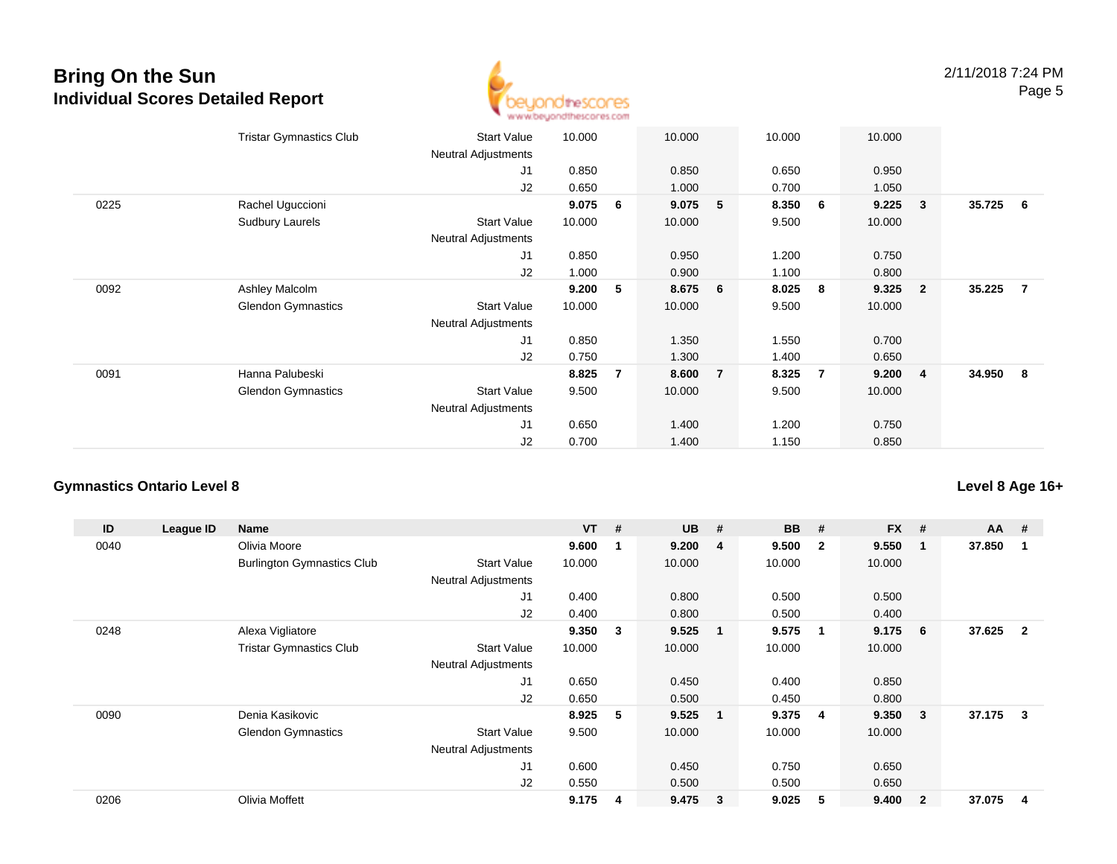

|      | <b>Tristar Gymnastics Club</b> | <b>Start Value</b><br>Neutral Adjustments | 10.000 |   | 10.000  |                | 10.000 |                | 10.000 |                         |          |                |
|------|--------------------------------|-------------------------------------------|--------|---|---------|----------------|--------|----------------|--------|-------------------------|----------|----------------|
|      |                                | J1                                        | 0.850  |   | 0.850   |                | 0.650  |                | 0.950  |                         |          |                |
|      |                                | J2                                        | 0.650  |   | 1.000   |                | 0.700  |                | 1.050  |                         |          |                |
| 0225 | Rachel Uguccioni               |                                           | 9.075  | 6 | 9.075   | 5              | 8.350  | 6              | 9.225  | 3                       | 35.725   | 6              |
|      | Sudbury Laurels                | <b>Start Value</b><br>Neutral Adjustments | 10.000 |   | 10.000  |                | 9.500  |                | 10.000 |                         |          |                |
|      |                                | J1                                        | 0.850  |   | 0.950   |                | 1.200  |                | 0.750  |                         |          |                |
|      |                                | J2                                        | 1.000  |   | 0.900   |                | 1.100  |                | 0.800  |                         |          |                |
| 0092 | Ashley Malcolm                 |                                           | 9.200  | 5 | 8.675 6 |                | 8.025  | 8              | 9.325  | $\overline{\mathbf{2}}$ | 35.225   | $\overline{7}$ |
|      | <b>Glendon Gymnastics</b>      | <b>Start Value</b>                        | 10.000 |   | 10.000  |                | 9.500  |                | 10.000 |                         |          |                |
|      |                                | <b>Neutral Adjustments</b>                |        |   |         |                |        |                |        |                         |          |                |
|      |                                | J1                                        | 0.850  |   | 1.350   |                | 1.550  |                | 0.700  |                         |          |                |
|      |                                | J2                                        | 0.750  |   | 1.300   |                | 1.400  |                | 0.650  |                         |          |                |
| 0091 | Hanna Palubeski                |                                           | 8.825  | 7 | 8.600   | $\overline{7}$ | 8.325  | $\overline{7}$ | 9.200  | $\overline{\mathbf{4}}$ | 34.950 8 |                |
|      | <b>Glendon Gymnastics</b>      | <b>Start Value</b>                        | 9.500  |   | 10.000  |                | 9.500  |                | 10.000 |                         |          |                |
|      |                                | <b>Neutral Adjustments</b>                |        |   |         |                |        |                |        |                         |          |                |
|      |                                | J1                                        | 0.650  |   | 1.400   |                | 1.200  |                | 0.750  |                         |          |                |
|      |                                | J2                                        | 0.700  |   | 1.400   |                | 1.150  |                | 0.850  |                         |          |                |

#### **Gymnastics Ontario Level 8**

**ID League ID Name VT # UB # BB # FX # AA #** 0040 Olivia Moore **9.600 <sup>1</sup> 9.200 <sup>4</sup> 9.500 <sup>2</sup> 9.550 <sup>1</sup> 37.850 <sup>1</sup>** Burlington Gymnastics Clubb 3tart Value 10.000 10.000 10.000 10.000 10.000 Neutral Adjustments J1 0.400 0.800 0.500 0.500 J2 0.400 0.800 0.500 0.400 0248 Alexa Vigliatore **9.350 <sup>3</sup> 9.525 <sup>1</sup> 9.575 <sup>1</sup> 9.175 <sup>6</sup> 37.625 <sup>2</sup>** Tristar Gymnastics Clubb 3tart Value 10.000 10.000 10.000 10.000 10.000 Neutral Adjustments J1 0.650 0.450 0.400 0.850 J2 0.650 0.500 0.450 0.800 0090 Denia Kasikovic **8.925 <sup>5</sup> 9.525 <sup>1</sup> 9.375 <sup>4</sup> 9.350 <sup>3</sup> 37.175 <sup>3</sup>** Glendon Gymnastics Start Valuee 9.500 10.000 10.000 10.000 Neutral Adjustments J1 0.600 0.450 0.750 0.650 J2 0.550 0.500 0.500 0.650 0206Olivia Moffett **9.175 <sup>4</sup> 9.475 <sup>3</sup> 9.025 <sup>5</sup> 9.400 <sup>2</sup> 37.075 <sup>4</sup>**

**Level 8 Age 16+**